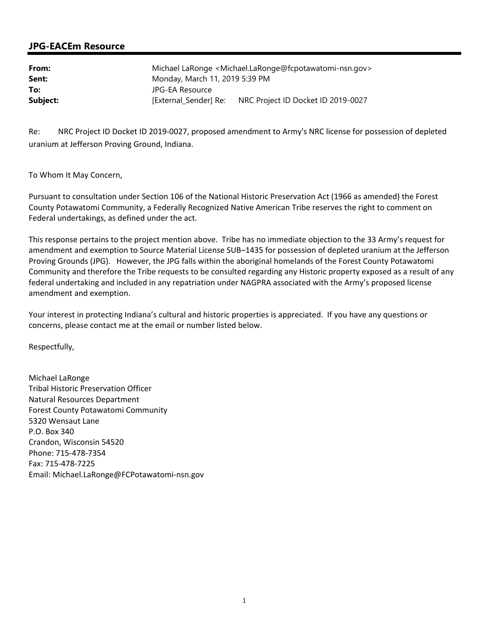## **JPG-EACEm Resource**

| From:    | Michael LaRonge < Michael.LaRonge@fcpotawatomi-nsn.gov> |                                    |
|----------|---------------------------------------------------------|------------------------------------|
| Sent:    | Monday, March 11, 2019 5:39 PM                          |                                    |
| To:      | JPG-EA Resource                                         |                                    |
| Subject: | [External Sender] Re:                                   | NRC Project ID Docket ID 2019-0027 |

Re: NRC Project ID Docket ID 2019-0027, proposed amendment to Army's NRC license for possession of depleted uranium at Jefferson Proving Ground, Indiana.

To Whom It May Concern,

Pursuant to consultation under Section 106 of the National Historic Preservation Act (1966 as amended) the Forest County Potawatomi Community, a Federally Recognized Native American Tribe reserves the right to comment on Federal undertakings, as defined under the act.

This response pertains to the project mention above. Tribe has no immediate objection to the 33 Army's request for amendment and exemption to Source Material License SUB–1435 for possession of depleted uranium at the Jefferson Proving Grounds (JPG). However, the JPG falls within the aboriginal homelands of the Forest County Potawatomi Community and therefore the Tribe requests to be consulted regarding any Historic property exposed as a result of any federal undertaking and included in any repatriation under NAGPRA associated with the Army's proposed license amendment and exemption.

Your interest in protecting Indiana's cultural and historic properties is appreciated. If you have any questions or concerns, please contact me at the email or number listed below.

Respectfully,

Michael LaRonge Tribal Historic Preservation Officer Natural Resources Department Forest County Potawatomi Community 5320 Wensaut Lane P.O. Box 340 Crandon, Wisconsin 54520 Phone: 715-478-7354 Fax: 715-478-7225 Email: Michael.LaRonge@FCPotawatomi-nsn.gov